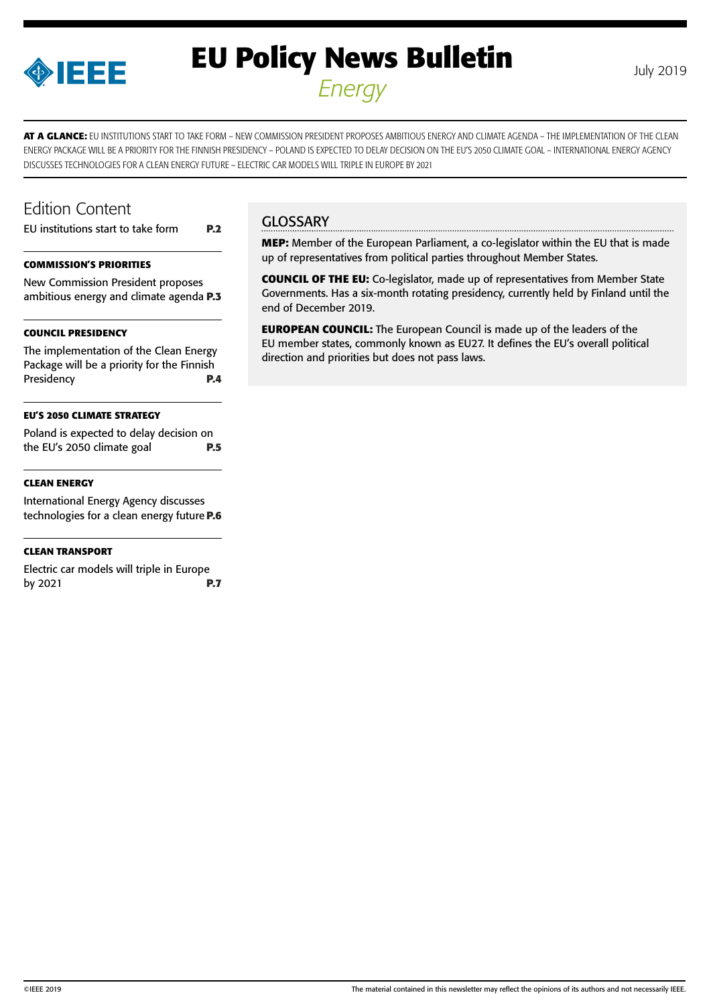

# **EU Policy News Bulletin** July 2019 *Energy*

**AT A GLANCE:** EU INSTITUTIONS START TO TAKE FORM – NEW COMMISSION PRESIDENT PROPOSES AMBITIOUS ENERGY AND CLIMATE AGENDA – THE IMPLEMENTATION OF THE CLEAN ENERGY PACKAGE WILL BE A PRIORITY FOR THE FINNISH PRESIDENCY - POLAND IS EXPECTED TO DELAY DECISION ON THE EU'S 2050 CLIMATE GOAL - INTERNATIONAL ENERGY AGENCY DISCUSSES TECHNOLOGIES FOR A CLEAN ENERGY FUTURE – ELECTRIC CAR MODELS WILL TRIPLE IN EUROPE BY 2021

## Edition Content

[EU institutions start to take form](#page-1-0) **P.2**

### **[COMMISSION'S PRIORITIES](#page-2-0)**

[New Commission President proposes](#page-2-0)  [ambitious energy and climate agenda](#page-2-0) **P.3**

### **[COUNCIL PRESIDENCY](#page-3-0)**

[The implementation of the Clean Energy](#page-3-0)  [Package will be a priority for the Finnish](#page-3-0)  [Presidency](#page-3-0) **P.4**

### **[EU'S 2050 CLIMATE STRATEGY](#page-4-0)**

[Poland is expected to delay decision on](#page-4-0)  [the EU's 2050 climate goal](#page-4-0) **P.5**

### **[CLEAN ENERGY](#page-5-0)**

[International Energy Agency discusses](#page-5-0)  [technologies for a clean energy future](#page-5-0)**P.6**

### **[CLEAN TRANSPORT](#page-6-0)**

[Electric car models will triple in Europe](#page-6-0)  [by 2021](#page-6-0) **P.7**

## **GLOSSARY**

**MEP:** Member of the European Parliament, a co-legislator within the EU that is made up of representatives from political parties throughout Member States.

**COUNCIL OF THE EU:** Co-legislator, made up of representatives from Member State Governments. Has a six-month rotating presidency, currently held by Finland until the end of December 2019.

**EUROPEAN COUNCIL:** The European Council is made up of the leaders of the EU member states, commonly known as EU27. It defines the EU's overall political direction and priorities but does not pass laws.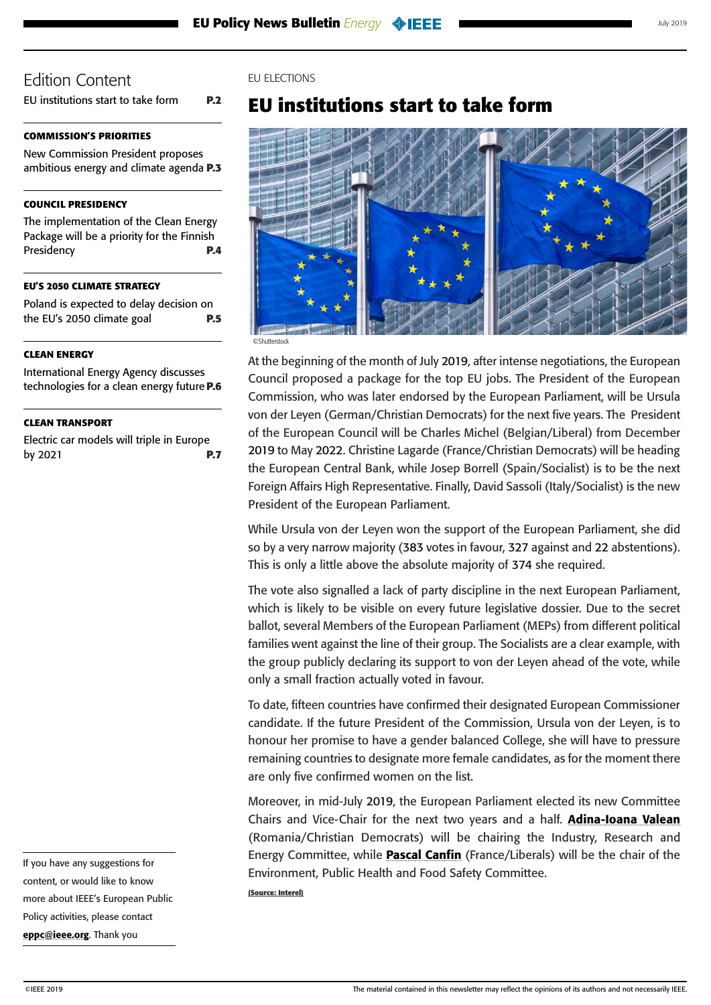<span id="page-1-0"></span>EU institutions start to take form **P.2**

### **[COMMISSION'S PRIORITIES](#page-2-0)**

[New Commission President proposes](#page-2-0)  [ambitious energy and climate agenda](#page-2-0) **P.3**

#### **[COUNCIL PRESIDENCY](#page-3-0)**

[The implementation of the Clean Energy](#page-3-0)  [Package will be a priority for the Finnish](#page-3-0)  [Presidency](#page-3-0) **P.4**

#### **[EU'S 2050 CLIMATE STRATEGY](#page-4-0)**

[Poland is expected to delay decision on](#page-4-0)  [the EU's 2050 climate goal](#page-4-0) **P.5**

#### **[CLEAN ENERGY](#page-5-0)**

[International Energy Agency discusses](#page-5-0)  [technologies for a clean energy future](#page-5-0)**P.6**

#### **[CLEAN TRANSPORT](#page-6-0)**

[Electric car models will triple in Europe](#page-6-0)  [by 2021](#page-6-0) **P.7**

### EU ELECTIONS

## **EU institutions start to take form**



 $\bigcap$ Chu

At the beginning of the month of July 2019, after intense negotiations, the European Council proposed a package for the top EU jobs. The President of the European Commission, who was later endorsed by the European Parliament, will be Ursula von der Leyen (German/Christian Democrats) for the next five years. The President of the European Council will be Charles Michel (Belgian/Liberal) from December 2019 to May 2022. Christine Lagarde (France/Christian Democrats) will be heading the European Central Bank, while Josep Borrell (Spain/Socialist) is to be the next Foreign Affairs High Representative. Finally, David Sassoli (Italy/Socialist) is the new President of the European Parliament.

While Ursula von der Leyen won the support of the European Parliament, she did so by a very narrow majority (383 votes in favour, 327 against and 22 abstentions). This is only a little above the absolute majority of 374 she required.

The vote also signalled a lack of party discipline in the next European Parliament, which is likely to be visible on every future legislative dossier. Due to the secret ballot, several Members of the European Parliament (MEPs) from different political families went against the line of their group. The Socialists are a clear example, with the group publicly declaring its support to von der Leyen ahead of the vote, while only a small fraction actually voted in favour.

To date, fifteen countries have confirmed their designated European Commissioner candidate. If the future President of the Commission, Ursula von der Leyen, is to honour her promise to have a gender balanced College, she will have to pressure remaining countries to designate more female candidates, as for the moment there are only five confirmed women on the list.

Moreover, in mid-July 2019, the European Parliament elected its new Committee Chairs and Vice-Chair for the next two years and a half. **[Adina-Ioana Valean](https://www.europarl.europa.eu/meps/en/37324/ADINA-IOANA_VALEAN/home)** (Romania/Christian Democrats) will be chairing the Industry, Research and Energy Committee, while **Pascal Canfin** (France/Liberals) will be the chair of the Environment, Public Health and Food Safety Committee.

**(Source: Interel)**

content, or would like to know more about IEEE's European Public Policy activities, please contact [eppc@ieee.org](mailto:eppc%40ieee.org?subject=). Thank you

If you have any suggestions for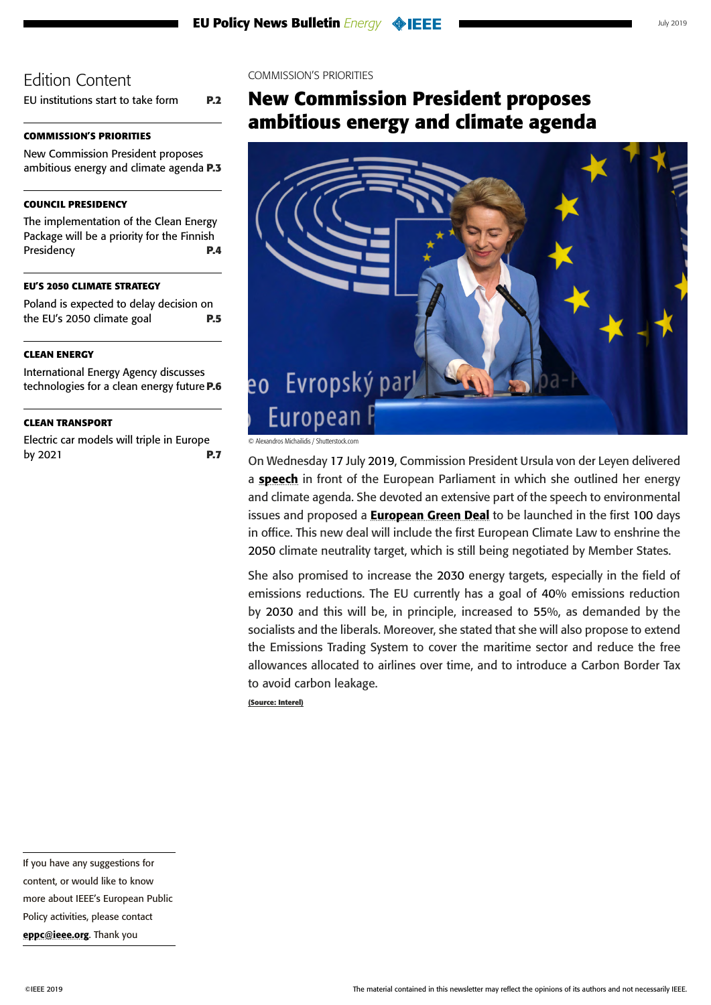<span id="page-2-0"></span>[EU institutions start to take form](#page-1-0) **P.2**

## **COMMISSION'S PRIORITIES**

New Commission President proposes ambitious energy and climate agenda **P.3**

## **[COUNCIL PRESIDENCY](#page-3-0)**

[The implementation of the Clean Energy](#page-3-0)  [Package will be a priority for the Finnish](#page-3-0)  [Presidency](#page-3-0) **P.4**

## **[EU'S 2050 CLIMATE STRATEGY](#page-4-0)**

[Poland is expected to delay decision on](#page-4-0)  [the EU's 2050 climate goal](#page-4-0) **P.5**

## **[CLEAN ENERGY](#page-5-0)**

[International Energy Agency discusses](#page-5-0)  [technologies for a clean energy future](#page-5-0)**P.6**

### **[CLEAN TRANSPORT](#page-6-0)**

[Electric car models will triple in Europe](#page-6-0)  [by 2021](#page-6-0) **P.7**

### COMMISSION'S PRIORITIES

## **New Commission President proposes ambitious energy and climate agenda**



© Alexandros Michailidis / Shutterstock.com

On Wednesday 17 July 2019, Commission President Ursula von der Leyen delivered a **[speech](https://ec.europa.eu/commission/presscorner/detail/en/speech_19_4230)** in front of the European Parliament in which she outlined her energy and climate agenda. She devoted an extensive part of the speech to environmental issues and proposed a **[European Green Deal](https://www.europarl.europa.eu/resources/library/media/20190716RES57231/20190716RES57231.pdf)** to be launched in the first 100 days in office. This new deal will include the first European Climate Law to enshrine the 2050 climate neutrality target, which is still being negotiated by Member States.

She also promised to increase the 2030 energy targets, especially in the field of emissions reductions. The EU currently has a goal of 40% emissions reduction by 2030 and this will be, in principle, increased to 55%, as demanded by the socialists and the liberals. Moreover, she stated that she will also propose to extend the Emissions Trading System to cover the maritime sector and reduce the free allowances allocated to airlines over time, and to introduce a Carbon Border Tax to avoid carbon leakage.

**(Source: Interel)**

more about IEEE's European Public

Policy activities, please contact [eppc@ieee.org](mailto:eppc%40ieee.org?subject=). Thank you

If you have any suggestions for content, or would like to know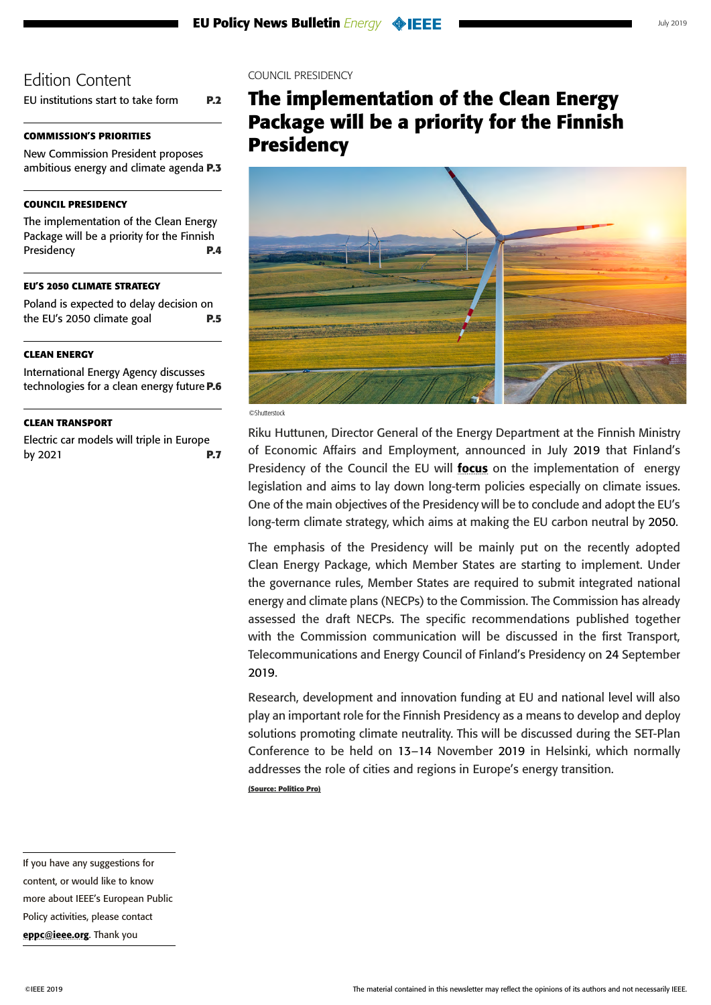<span id="page-3-0"></span>[EU institutions start to take form](#page-1-0) **P.2**

## **[COMMISSION'S PRIORITIES](#page-2-0)**

[New Commission President proposes](#page-2-0)  [ambitious energy and climate agenda](#page-2-0) **P.3**

### **COUNCIL PRESIDENCY**

The implementation of the Clean Energy Package will be a priority for the Finnish Presidency **P.4**

#### **[EU'S 2050 CLIMATE STRATEGY](#page-4-0)**

[Poland is expected to delay decision on](#page-4-0)  [the EU's 2050 climate goal](#page-4-0) **P.5**

### **[CLEAN ENERGY](#page-5-0)**

[International Energy Agency discusses](#page-5-0)  [technologies for a clean energy future](#page-5-0)**P.6**

### **[CLEAN TRANSPORT](#page-6-0)**

[Electric car models will triple in Europe](#page-6-0)  [by 2021](#page-6-0) **P.7**

### COUNCIL PRESIDENCY

## **The implementation of the Clean Energy Package will be a priority for the Finnish Presidency**



©Shutterstock

Riku Huttunen, Director General of the Energy Department at the Finnish Ministry of Economic Affairs and Employment, announced in July 2019 that Finland's Presidency of the Council the EU will **[focus](https://eu2019.fi/en/article/-/asset_publisher/energiaunioni-ja-ilmastoneutraaliutta-edistavat-ratkaisut-painopisteina-energianeuvostossa)** on the implementation of energy legislation and aims to lay down long-term policies especially on climate issues. One of the main objectives of the Presidency will be to conclude and adopt the EU's long-term climate strategy, which aims at making the EU carbon neutral by 2050.

The emphasis of the Presidency will be mainly put on the recently adopted Clean Energy Package, which Member States are starting to implement. Under the governance rules, Member States are required to submit integrated national energy and climate plans (NECPs) to the Commission. The Commission has already assessed the draft NECPs. The specific recommendations published together with the Commission communication will be discussed in the first Transport, Telecommunications and Energy Council of Finland's Presidency on 24 September 2019.

Research, development and innovation funding at EU and national level will also play an important role for the Finnish Presidency as a means to develop and deploy solutions promoting climate neutrality. This will be discussed during the SET-Plan Conference to be held on 13–14 November 2019 in Helsinki, which normally addresses the role of cities and regions in Europe's energy transition.

**(Source: Politico Pro)**

If you have any suggestions for content, or would like to know more about IEEE's European Public Policy activities, please contact [eppc@ieee.org](mailto:eppc%40ieee.org?subject=). Thank you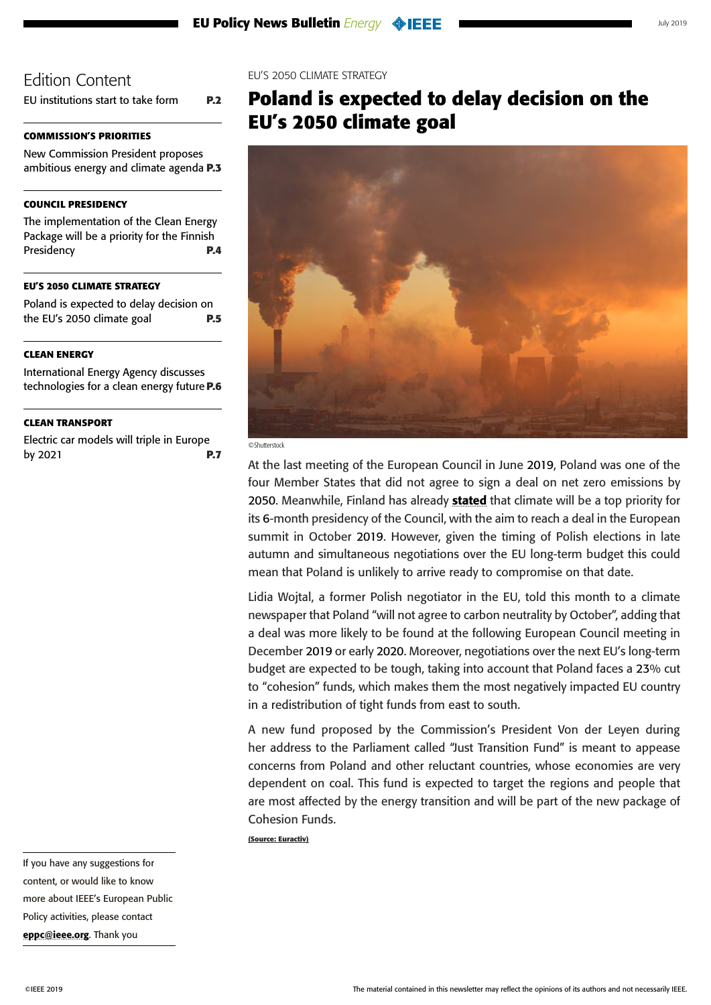<span id="page-4-0"></span>[EU institutions start to take form](#page-1-0) **P.2**

## **[COMMISSION'S PRIORITIES](#page-2-0)**

[New Commission President proposes](#page-2-0)  [ambitious energy and climate agenda](#page-2-0) **P.3**

## **[COUNCIL PRESIDENCY](#page-3-0)**

[The implementation of the Clean Energy](#page-3-0)  [Package will be a priority for the Finnish](#page-3-0)  [Presidency](#page-3-0) **P.4**

### **EU'S 2050 CLIMATE STRATEGY**

Poland is expected to delay decision on the EU's 2050 climate goal **P.5**

## **[CLEAN ENERGY](#page-5-0)**

[International Energy Agency discusses](#page-5-0)  [technologies for a clean energy future](#page-5-0)**P.6**

## **[CLEAN TRANSPORT](#page-6-0)**

[Electric car models will triple in Europe](#page-6-0)  [by 2021](#page-6-0) **P.7**

### EU'S 2050 CLIMATE STRATEGY

## **Poland is expected to delay decision on the EU's 2050 climate goal**





At the last meeting of the European Council in June 2019, Poland was one of the four Member States that did not agree to sign a deal on net zero emissions by 2050. Meanwhile, Finland has already [stated](https://eu2019.fi/en/priorities/climate-leadership) that climate will be a top priority for its 6-month presidency of the Council, with the aim to reach a deal in the European summit in October 2019. However, given the timing of Polish elections in late autumn and simultaneous negotiations over the EU long-term budget this could mean that Poland is unlikely to arrive ready to compromise on that date.

Lidia Wojtal, a former Polish negotiator in the EU, told this month to a climate newspaper that Poland "will not agree to carbon neutrality by October", adding that a deal was more likely to be found at the following European Council meeting in December 2019 or early 2020. Moreover, negotiations over the next EU's long-term budget are expected to be tough, taking into account that Poland faces a 23% cut to "cohesion" funds, which makes them the most negatively impacted EU country in a redistribution of tight funds from east to south.

A new fund proposed by the Commission's President Von der Leyen during her address to the Parliament called "Just Transition Fund" is meant to appease concerns from Poland and other reluctant countries, whose economies are very dependent on coal. This fund is expected to target the regions and people that are most affected by the energy transition and will be part of the new package of Cohesion Funds.

**(Source: Euractiv)**

If you have any suggestions for content, or would like to know more about IEEE's European Public Policy activities, please contact [eppc@ieee.org](mailto:eppc%40ieee.org?subject=). Thank you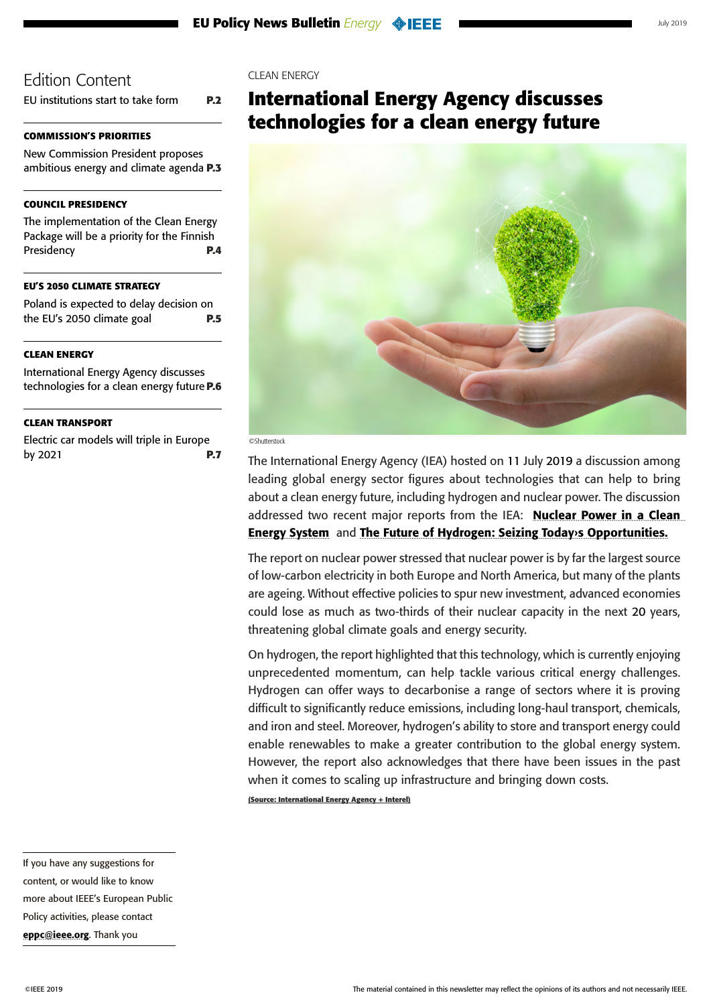<span id="page-5-0"></span>[EU institutions start to take form](#page-1-0) **P.2**

## **[COMMISSION'S PRIORITIES](#page-2-0)**

[New Commission President proposes](#page-2-0)  [ambitious energy and climate agenda](#page-2-0) **P.3**

## **[COUNCIL PRESIDENCY](#page-3-0)**

[The implementation of the Clean Energy](#page-3-0)  [Package will be a priority for the Finnish](#page-3-0)  [Presidency](#page-3-0) **P.4**

### **[EU'S 2050 CLIMATE STRATEGY](#page-4-0)**

[Poland is expected to delay decision on](#page-4-0)  [the EU's 2050 climate goal](#page-4-0) **P.5**

### **CLEAN ENERGY**

International Energy Agency discusses technologies for a clean energy future**P.6**

### **[CLEAN TRANSPORT](#page-6-0)**

[Electric car models will triple in Europe](#page-6-0)  [by 2021](#page-6-0) **P.7**

### CLEAN ENERGY

## **International Energy Agency discusses technologies for a clean energy future**



#### ©Shutterstock

The International Energy Agency (IEA) hosted on 11 July 2019 a discussion among leading global energy sector figures about technologies that can help to bring about a clean energy future, including hydrogen and nuclear power. The discussion addressed two recent major reports from the IEA: Nuclear Power in a Clean [Energy System](https://www.iea.org/publications/nuclear/) and [The Future of Hydrogen: Seizing Today›s Opportunities.](https://www.iea.org/hydrogen2019/)

The report on nuclear power stressed that nuclear power is by far the largest source of low-carbon electricity in both Europe and North America, but many of the plants are ageing. Without effective policies to spur new investment, advanced economies could lose as much as two-thirds of their nuclear capacity in the next 20 years, threatening global climate goals and energy security.

On hydrogen, the report highlighted that this technology, which is currently enjoying unprecedented momentum, can help tackle various critical energy challenges. Hydrogen can offer ways to decarbonise a range of sectors where it is proving difficult to significantly reduce emissions, including long-haul transport, chemicals, and iron and steel. Moreover, hydrogen's ability to store and transport energy could enable renewables to make a greater contribution to the global energy system. However, the report also acknowledges that there have been issues in the past when it comes to scaling up infrastructure and bringing down costs.

**(Source: International Energy Agency + Interel)**

If you have any suggestions for content, or would like to know more about IEEE's European Public Policy activities, please contact [eppc@ieee.org](mailto:eppc%40ieee.org?subject=). Thank you